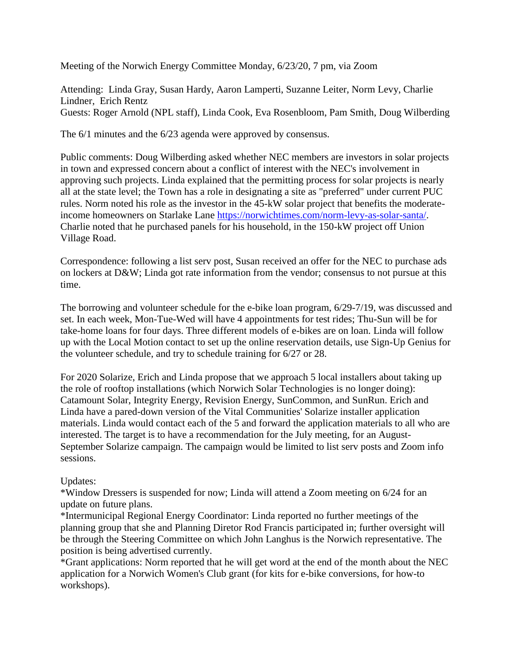Meeting of the Norwich Energy Committee Monday, 6/23/20, 7 pm, via Zoom

Attending: Linda Gray, Susan Hardy, Aaron Lamperti, Suzanne Leiter, Norm Levy, Charlie Lindner, Erich Rentz Guests: Roger Arnold (NPL staff), Linda Cook, Eva Rosenbloom, Pam Smith, Doug Wilberding

The 6/1 minutes and the 6/23 agenda were approved by consensus.

Public comments: Doug Wilberding asked whether NEC members are investors in solar projects in town and expressed concern about a conflict of interest with the NEC's involvement in approving such projects. Linda explained that the permitting process for solar projects is nearly all at the state level; the Town has a role in designating a site as "preferred" under current PUC rules. Norm noted his role as the investor in the 45-kW solar project that benefits the moderateincome homeowners on Starlake Lane [https://norwichtimes.com/norm-levy-as-solar-santa/.](https://norwichtimes.com/norm-levy-as-solar-santa/) Charlie noted that he purchased panels for his household, in the 150-kW project off Union Village Road.

Correspondence: following a list serv post, Susan received an offer for the NEC to purchase ads on lockers at D&W; Linda got rate information from the vendor; consensus to not pursue at this time.

The borrowing and volunteer schedule for the e-bike loan program, 6/29-7/19, was discussed and set. In each week, Mon-Tue-Wed will have 4 appointments for test rides; Thu-Sun will be for take-home loans for four days. Three different models of e-bikes are on loan. Linda will follow up with the Local Motion contact to set up the online reservation details, use Sign-Up Genius for the volunteer schedule, and try to schedule training for 6/27 or 28.

For 2020 Solarize, Erich and Linda propose that we approach 5 local installers about taking up the role of rooftop installations (which Norwich Solar Technologies is no longer doing): Catamount Solar, Integrity Energy, Revision Energy, SunCommon, and SunRun. Erich and Linda have a pared-down version of the Vital Communities' Solarize installer application materials. Linda would contact each of the 5 and forward the application materials to all who are interested. The target is to have a recommendation for the July meeting, for an August-September Solarize campaign. The campaign would be limited to list serv posts and Zoom info sessions.

## Updates:

\*Window Dressers is suspended for now; Linda will attend a Zoom meeting on 6/24 for an update on future plans.

\*Intermunicipal Regional Energy Coordinator: Linda reported no further meetings of the planning group that she and Planning Diretor Rod Francis participated in; further oversight will be through the Steering Committee on which John Langhus is the Norwich representative. The position is being advertised currently.

\*Grant applications: Norm reported that he will get word at the end of the month about the NEC application for a Norwich Women's Club grant (for kits for e-bike conversions, for how-to workshops).